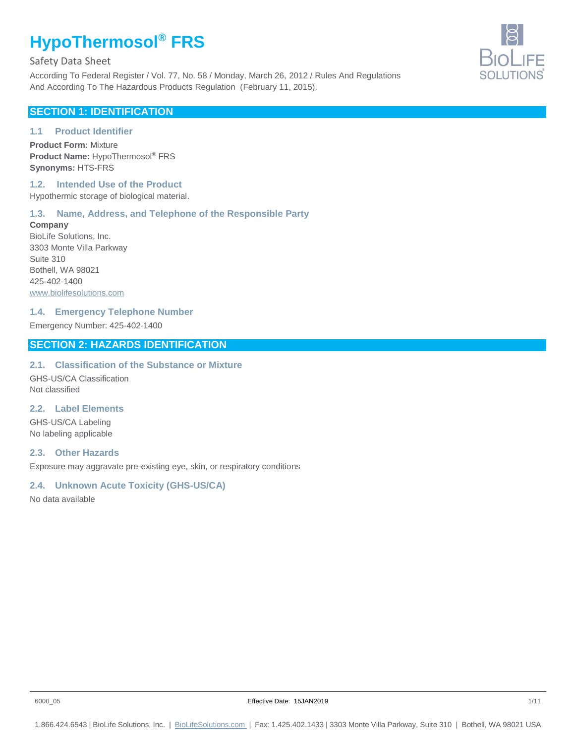Safety Data Sheet

According To Federal Register / Vol. 77, No. 58 / Monday, March 26, 2012 / Rules And Regulations And According To The Hazardous Products Regulation (February 11, 2015).

## **SECTION 1: IDENTIFICATION**

#### **1.1 Product Identifier**

**Product Form:** Mixture **Product Name:** HypoThermosol® FRS **Synonyms:** HTS-FRS

#### **1.2. Intended Use of the Product** Hypothermic storage of biological material.

## **1.3. Name, Address, and Telephone of the Responsible Party**

**Company** BioLife Solutions, Inc. 3303 Monte Villa Parkway Suite 310 Bothell, WA 98021 425-402-1400 www.biolifesolutions.com

#### **1.4. Emergency Telephone Number**

Emergency Number: 425-402-1400

# **SECTION 2: HAZARDS IDENTIFICATION**

#### **2.1. Classification of the Substance or Mixture**

GHS-US/CA Classification Not classified

#### **2.2. Label Elements**

GHS-US/CA Labeling No labeling applicable

#### **2.3. Other Hazards**

Exposure may aggravate pre-existing eye, skin, or respiratory conditions

## **2.4. Unknown Acute Toxicity (GHS-US/CA)**

No data available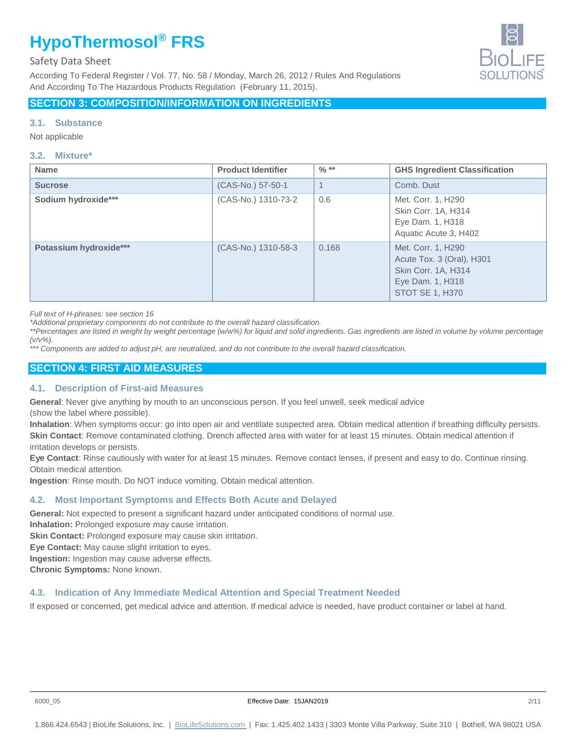## Safety Data Sheet

According To Federal Register / Vol. 77, No. 58 / Monday, March 26, 2012 / Rules And Regulations And According To The Hazardous Products Regulation (February 11, 2015).



# **SECTION 3: COMPOSITION/INFORMATION ON INGREDIENTS**

#### **3.1. Substance**

Not applicable

#### **3.2. Mixture\***

| <b>Name</b>            | <b>Product Identifier</b> | $\frac{9}{6}$ ** | <b>GHS Ingredient Classification</b>                                                                          |
|------------------------|---------------------------|------------------|---------------------------------------------------------------------------------------------------------------|
| <b>Sucrose</b>         | (CAS-No.) 57-50-1         | $\mathbf 1$      | Comb. Dust                                                                                                    |
| Sodium hydroxide***    | (CAS-No.) 1310-73-2       | 0.6              | Met. Corr. 1, H290<br>Skin Corr. 1A, H314<br>Eye Dam. 1, H318<br>Aquatic Acute 3, H402                        |
| Potassium hydroxide*** | (CAS-No.) 1310-58-3       | 0.168            | Met. Corr. 1, H290<br>Acute Tox. 3 (Oral), H301<br>Skin Corr. 1A, H314<br>Eye Dam. 1, H318<br>STOT SE 1, H370 |

*Full text of H-phrases: see section 16*

*\*Additional proprietary components do not contribute to the overall hazard classification.*

*\*\*Percentages are listed in weight by weight percentage (w/w%) for liquid and solid ingredients. Gas ingredients are listed in volume by volume percentage (v/v%).*

*\*\*\* Components are added to adjust pH, are neutralized, and do not contribute to the overall hazard classification.*

# **SECTION 4: FIRST AID MEASURES**

#### **4.1. Description of First-aid Measures**

**General**: Never give anything by mouth to an unconscious person. If you feel unwell, seek medical advice (show the label where possible).

**Inhalation**: When symptoms occur: go into open air and ventilate suspected area. Obtain medical attention if breathing difficulty persists. **Skin Contact**: Remove contaminated clothing. Drench affected area with water for at least 15 minutes. Obtain medical attention if irritation develops or persists.

**Eye Contact**: Rinse cautiously with water for at least 15 minutes. Remove contact lenses, if present and easy to do. Continue rinsing. Obtain medical attention.

**Ingestion**: Rinse mouth. Do NOT induce vomiting. Obtain medical attention.

#### **4.2. Most Important Symptoms and Effects Both Acute and Delayed**

**General:** Not expected to present a significant hazard under anticipated conditions of normal use.

**Inhalation:** Prolonged exposure may cause irritation.

**Skin Contact:** Prolonged exposure may cause skin irritation.

**Eye Contact:** May cause slight irritation to eyes.

**Ingestion:** Ingestion may cause adverse effects.

**Chronic Symptoms:** None known.

#### **4.3. Indication of Any Immediate Medical Attention and Special Treatment Needed**

If exposed or concerned, get medical advice and attention. If medical advice is needed, have product container or label at hand.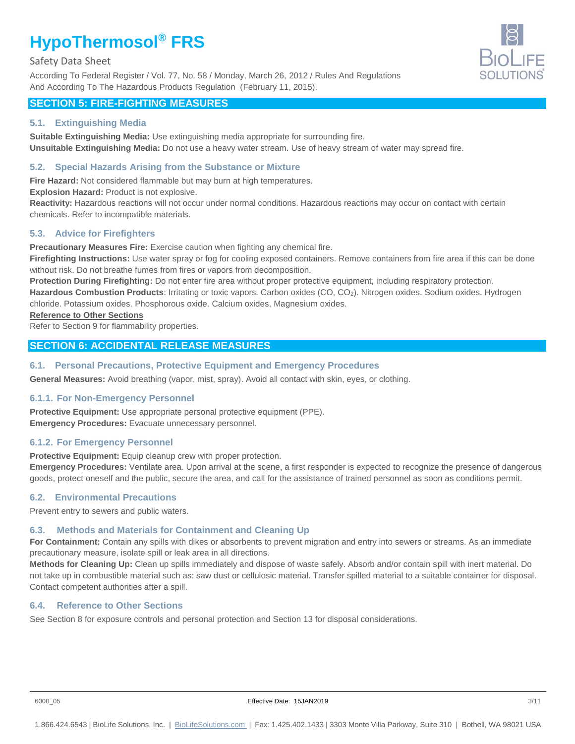#### Safety Data Sheet

According To Federal Register / Vol. 77, No. 58 / Monday, March 26, 2012 / Rules And Regulations And According To The Hazardous Products Regulation (February 11, 2015).



# **SECTION 5: FIRE-FIGHTING MEASURES**

#### **5.1. Extinguishing Media**

**Suitable Extinguishing Media:** Use extinguishing media appropriate for surrounding fire. **Unsuitable Extinguishing Media:** Do not use a heavy water stream. Use of heavy stream of water may spread fire.

#### **5.2. Special Hazards Arising from the Substance or Mixture**

**Fire Hazard:** Not considered flammable but may burn at high temperatures.

**Explosion Hazard:** Product is not explosive.

**Reactivity:** Hazardous reactions will not occur under normal conditions. Hazardous reactions may occur on contact with certain chemicals. Refer to incompatible materials.

#### **5.3. Advice for Firefighters**

**Precautionary Measures Fire:** Exercise caution when fighting any chemical fire.

Firefighting Instructions: Use water spray or fog for cooling exposed containers. Remove containers from fire area if this can be done without risk. Do not breathe fumes from fires or vapors from decomposition.

**Protection During Firefighting:** Do not enter fire area without proper protective equipment, including respiratory protection.

**Hazardous Combustion Products**: Irritating or toxic vapors. Carbon oxides (CO, CO2). Nitrogen oxides. Sodium oxides. Hydrogen chloride. Potassium oxides. Phosphorous oxide. Calcium oxides. Magnesium oxides.

#### **Reference to Other Sections**

Refer to Section 9 for flammability properties.

## **SECTION 6: ACCIDENTAL RELEASE MEASURES**

#### **6.1. Personal Precautions, Protective Equipment and Emergency Procedures**

**General Measures:** Avoid breathing (vapor, mist, spray). Avoid all contact with skin, eyes, or clothing.

#### **6.1.1. For Non-Emergency Personnel**

**Protective Equipment:** Use appropriate personal protective equipment (PPE). **Emergency Procedures:** Evacuate unnecessary personnel.

#### **6.1.2. For Emergency Personnel**

**Protective Equipment:** Equip cleanup crew with proper protection.

**Emergency Procedures:** Ventilate area. Upon arrival at the scene, a first responder is expected to recognize the presence of dangerous goods, protect oneself and the public, secure the area, and call for the assistance of trained personnel as soon as conditions permit.

#### **6.2. Environmental Precautions**

Prevent entry to sewers and public waters.

# **6.3. Methods and Materials for Containment and Cleaning Up**

**For Containment:** Contain any spills with dikes or absorbents to prevent migration and entry into sewers or streams. As an immediate precautionary measure, isolate spill or leak area in all directions.

**Methods for Cleaning Up:** Clean up spills immediately and dispose of waste safely. Absorb and/or contain spill with inert material. Do not take up in combustible material such as: saw dust or cellulosic material. Transfer spilled material to a suitable container for disposal. Contact competent authorities after a spill.

## **6.4. Reference to Other Sections**

See Section 8 for exposure controls and personal protection and Section 13 for disposal considerations.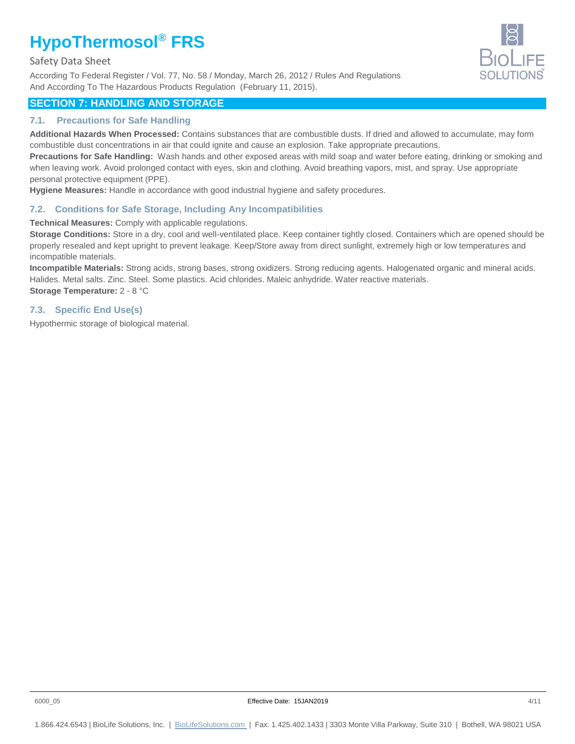Safety Data Sheet

According To Federal Register / Vol. 77, No. 58 / Monday, March 26, 2012 / Rules And Regulations And According To The Hazardous Products Regulation (February 11, 2015).



# **SECTION 7: HANDLING AND STORAGE**

## **7.1. Precautions for Safe Handling**

**Additional Hazards When Processed:** Contains substances that are combustible dusts. If dried and allowed to accumulate, may form combustible dust concentrations in air that could ignite and cause an explosion. Take appropriate precautions.

**Precautions for Safe Handling:** Wash hands and other exposed areas with mild soap and water before eating, drinking or smoking and when leaving work. Avoid prolonged contact with eyes, skin and clothing. Avoid breathing vapors, mist, and spray. Use appropriate personal protective equipment (PPE).

**Hygiene Measures:** Handle in accordance with good industrial hygiene and safety procedures.

# **7.2. Conditions for Safe Storage, Including Any Incompatibilities**

**Technical Measures:** Comply with applicable regulations.

**Storage Conditions:** Store in a dry, cool and well-ventilated place. Keep container tightly closed. Containers which are opened should be properly resealed and kept upright to prevent leakage. Keep/Store away from direct sunlight, extremely high or low temperatures and incompatible materials.

**Incompatible Materials:** Strong acids, strong bases, strong oxidizers. Strong reducing agents. Halogenated organic and mineral acids. Halides. Metal salts. Zinc. Steel. Some plastics. Acid chlorides. Maleic anhydride. Water reactive materials. **Storage Temperature:** 2 - 8 °C

# **7.3. Specific End Use(s)**

Hypothermic storage of biological material.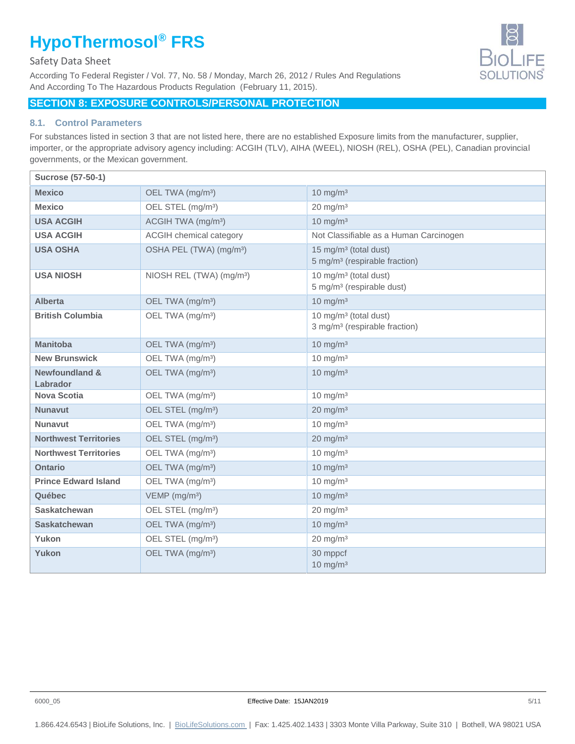## Safety Data Sheet

According To Federal Register / Vol. 77, No. 58 / Monday, March 26, 2012 / Rules And Regulations And According To The Hazardous Products Regulation (February 11, 2015).

# **SECTION 8: EXPOSURE CONTROLS/PERSONAL PROTECTION**

#### **8.1. Control Parameters**

For substances listed in section 3 that are not listed here, there are no established Exposure limits from the manufacturer, supplier, importer, or the appropriate advisory agency including: ACGIH (TLV), AIHA (WEEL), NIOSH (REL), OSHA (PEL), Canadian provincial governments, or the Mexican government.

| <b>Sucrose (57-50-1)</b>              |                                      |                                                                                |
|---------------------------------------|--------------------------------------|--------------------------------------------------------------------------------|
| <b>Mexico</b>                         | OEL TWA (mg/m <sup>3</sup> )         | $10 \text{ mg/m}^3$                                                            |
| <b>Mexico</b>                         | OEL STEL (mg/m <sup>3</sup> )        | $20 \text{ mg/m}^3$                                                            |
| <b>USA ACGIH</b>                      | ACGIH TWA (mg/m <sup>3</sup> )       | $10 \text{ mg/m}^3$                                                            |
| <b>USA ACGIH</b>                      | <b>ACGIH</b> chemical category       | Not Classifiable as a Human Carcinogen                                         |
| <b>USA OSHA</b>                       | OSHA PEL (TWA) (mg/m <sup>3</sup> )  | 15 mg/m <sup>3</sup> (total dust)<br>5 mg/m <sup>3</sup> (respirable fraction) |
| <b>USA NIOSH</b>                      | NIOSH REL (TWA) (mg/m <sup>3</sup> ) | 10 mg/m <sup>3</sup> (total dust)<br>5 mg/m <sup>3</sup> (respirable dust)     |
| <b>Alberta</b>                        | OEL TWA (mg/m <sup>3</sup> )         | $10 \text{ mg/m}^3$                                                            |
| <b>British Columbia</b>               | OEL TWA (mg/m <sup>3</sup> )         | 10 mg/m <sup>3</sup> (total dust)<br>3 mg/m <sup>3</sup> (respirable fraction) |
| <b>Manitoba</b>                       | OEL TWA (mg/m <sup>3</sup> )         | $10 \text{ mg/m}^3$                                                            |
| <b>New Brunswick</b>                  | OEL TWA (mg/m <sup>3</sup> )         | $10 \text{ mg/m}^3$                                                            |
| <b>Newfoundland &amp;</b><br>Labrador | OEL TWA (mg/m <sup>3</sup> )         | $10 \text{ mg/m}^3$                                                            |
| <b>Nova Scotia</b>                    | OEL TWA (mg/m <sup>3</sup> )         | $10 \text{ mg/m}^3$                                                            |
| <b>Nunavut</b>                        | OEL STEL (mg/m <sup>3</sup> )        | $20 \text{ mg/m}^3$                                                            |
| <b>Nunavut</b>                        | OEL TWA (mg/m <sup>3</sup> )         | $10 \text{ mg/m}^3$                                                            |
| <b>Northwest Territories</b>          | OEL STEL (mg/m <sup>3</sup> )        | $20 \text{ mg/m}^3$                                                            |
| <b>Northwest Territories</b>          | OEL TWA (mg/m <sup>3</sup> )         | $10 \text{ mg/m}^3$                                                            |
| <b>Ontario</b>                        | OEL TWA (mg/m <sup>3</sup> )         | $10 \text{ mg/m}^3$                                                            |
| <b>Prince Edward Island</b>           | OEL TWA (mg/m <sup>3</sup> )         | $10 \text{ mg/m}^3$                                                            |
| Québec                                | VEMP (mg/m <sup>3</sup> )            | $10 \text{ mg/m}^3$                                                            |
| <b>Saskatchewan</b>                   | OEL STEL (mg/m <sup>3</sup> )        | $20 \text{ mg/m}^3$                                                            |
| <b>Saskatchewan</b>                   | OEL TWA (mg/m <sup>3</sup> )         | $10 \text{ mg/m}^3$                                                            |
| Yukon                                 | OEL STEL (mg/m <sup>3</sup> )        | $20 \text{ mg/m}^3$                                                            |
| Yukon                                 | OEL TWA (mg/m <sup>3</sup> )         | 30 mppcf<br>$10 \text{ mg/m}^3$                                                |

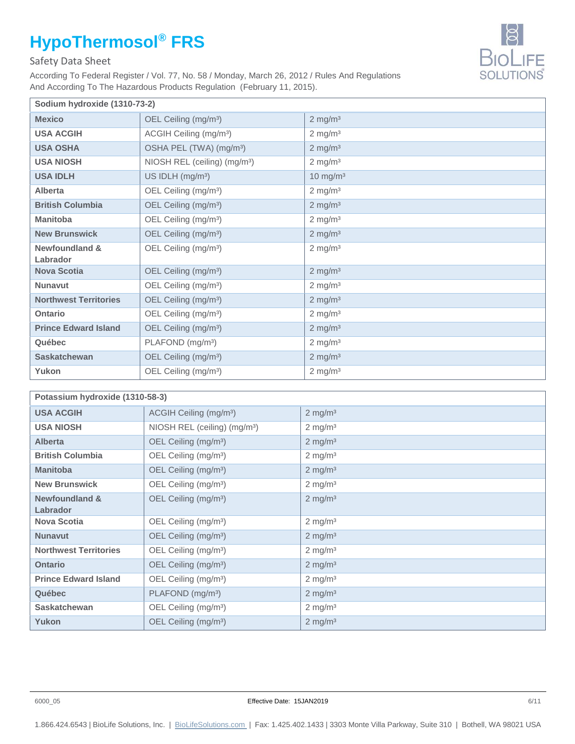# Safety Data Sheet

According To Federal Register / Vol. 77, No. 58 / Monday, March 26, 2012 / Rules And Regulations And According To The Hazardous Products Regulation (February 11, 2015).

| Sodium hydroxide (1310-73-2)          |                                          |                       |
|---------------------------------------|------------------------------------------|-----------------------|
| <b>Mexico</b>                         | OEL Ceiling (mg/m <sup>3</sup> )         | $2$ mg/m <sup>3</sup> |
| <b>USA ACGIH</b>                      | ACGIH Ceiling (mg/m <sup>3</sup> )       | $2 \text{ mg/m}^3$    |
| <b>USA OSHA</b>                       | OSHA PEL (TWA) (mg/m <sup>3</sup> )      | $2$ mg/m <sup>3</sup> |
| <b>USA NIOSH</b>                      | NIOSH REL (ceiling) (mg/m <sup>3</sup> ) | $2$ mg/m <sup>3</sup> |
| <b>USA IDLH</b>                       | US IDLH (mg/m <sup>3</sup> )             | $10 \text{ mg/m}^3$   |
| Alberta                               | OEL Ceiling (mg/m <sup>3</sup> )         | $2 \text{ mg/m}^3$    |
| <b>British Columbia</b>               | OEL Ceiling (mg/m <sup>3</sup> )         | $2$ mg/m <sup>3</sup> |
| <b>Manitoba</b>                       | OEL Ceiling (mg/m <sup>3</sup> )         | $2$ mg/m <sup>3</sup> |
| <b>New Brunswick</b>                  | OEL Ceiling (mg/m <sup>3</sup> )         | $2 \text{ mg/m}^3$    |
| <b>Newfoundland &amp;</b><br>Labrador | OEL Ceiling (mg/m <sup>3</sup> )         | $2 \text{ mg/m}^3$    |
| <b>Nova Scotia</b>                    | OEL Ceiling (mg/m <sup>3</sup> )         | $2$ mg/m <sup>3</sup> |
| <b>Nunavut</b>                        | OEL Ceiling (mg/m <sup>3</sup> )         | $2 \text{ mg/m}^3$    |
| <b>Northwest Territories</b>          | OEL Ceiling (mg/m <sup>3</sup> )         | $2 \text{ mg/m}^3$    |
| Ontario                               | OEL Ceiling (mg/m <sup>3</sup> )         | $2$ mg/m <sup>3</sup> |
| <b>Prince Edward Island</b>           | OEL Ceiling (mg/m <sup>3</sup> )         | $2$ mg/m <sup>3</sup> |
| Québec                                | PLAFOND (mg/m <sup>3</sup> )             | $2 \text{ mg/m}^3$    |
| <b>Saskatchewan</b>                   | OEL Ceiling (mg/m <sup>3</sup> )         | $2 \text{ mg/m}^3$    |
| Yukon                                 | OEL Ceiling (mg/m <sup>3</sup> )         | $2$ mg/m <sup>3</sup> |

| Potassium hydroxide (1310-58-3) |                                          |                       |
|---------------------------------|------------------------------------------|-----------------------|
| <b>USA ACGIH</b>                | ACGIH Ceiling (mg/m <sup>3</sup> )       | $2$ mg/m <sup>3</sup> |
| <b>USA NIOSH</b>                | NIOSH REL (ceiling) (mg/m <sup>3</sup> ) | $2 \text{ mg/m}^3$    |
| <b>Alberta</b>                  | OEL Ceiling (mg/m <sup>3</sup> )         | $2 \text{ mg/m}^3$    |
| <b>British Columbia</b>         | OEL Ceiling (mg/m <sup>3</sup> )         | $2 \text{ mg/m}^3$    |
| <b>Manitoba</b>                 | OEL Ceiling (mg/m <sup>3</sup> )         | $2$ mg/m <sup>3</sup> |
| <b>New Brunswick</b>            | OEL Ceiling (mg/m <sup>3</sup> )         | $2 \text{ mg/m}^3$    |
| <b>Newfoundland &amp;</b>       | OEL Ceiling (mg/m <sup>3</sup> )         | $2$ mg/m <sup>3</sup> |
| Labrador                        |                                          |                       |
| <b>Nova Scotia</b>              | OEL Ceiling (mg/m <sup>3</sup> )         | $2 \text{ mg/m}^3$    |
| <b>Nunavut</b>                  | OEL Ceiling (mg/m <sup>3</sup> )         | $2 \text{ mg/m}^3$    |
| <b>Northwest Territories</b>    | OEL Ceiling (mg/m <sup>3</sup> )         | $2 \text{ mg/m}^3$    |
| <b>Ontario</b>                  | OEL Ceiling (mg/m <sup>3</sup> )         | $2$ mg/m <sup>3</sup> |
| <b>Prince Edward Island</b>     | OEL Ceiling (mg/m <sup>3</sup> )         | $2$ mg/m <sup>3</sup> |
| Québec                          | PLAFOND (mg/m <sup>3</sup> )             | $2 \text{ mg/m}^3$    |
| <b>Saskatchewan</b>             | OEL Ceiling (mg/m <sup>3</sup> )         | $2 \text{ mg/m}^3$    |
| Yukon                           | OEL Ceiling (mg/m <sup>3</sup> )         | $2 \text{ mg/m}^3$    |

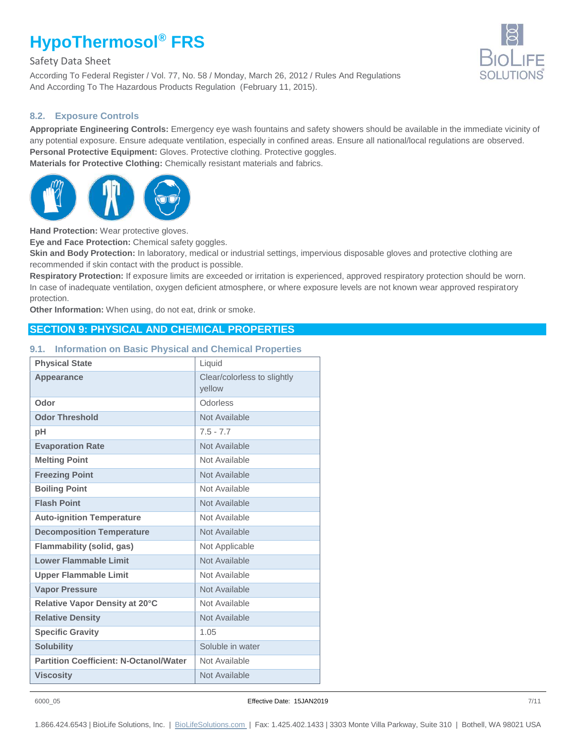Safety Data Sheet

According To Federal Register / Vol. 77, No. 58 / Monday, March 26, 2012 / Rules And Regulations And According To The Hazardous Products Regulation (February 11, 2015).

#### **8.2. Exposure Controls**

**Appropriate Engineering Controls:** Emergency eye wash fountains and safety showers should be available in the immediate vicinity of any potential exposure. Ensure adequate ventilation, especially in confined areas. Ensure all national/local regulations are observed. **Personal Protective Equipment:** Gloves. Protective clothing. Protective goggles. **Materials for Protective Clothing:** Chemically resistant materials and fabrics.



**Hand Protection:** Wear protective gloves.

**Eye and Face Protection:** Chemical safety goggles.

**Skin and Body Protection:** In laboratory, medical or industrial settings, impervious disposable gloves and protective clothing are recommended if skin contact with the product is possible.

**Respiratory Protection:** If exposure limits are exceeded or irritation is experienced, approved respiratory protection should be worn. In case of inadequate ventilation, oxygen deficient atmosphere, or where exposure levels are not known wear approved respiratory protection.

**Other Information:** When using, do not eat, drink or smoke.

# **SECTION 9: PHYSICAL AND CHEMICAL PROPERTIES**

#### **9.1. Information on Basic Physical and Chemical Properties**

| <b>Physical State</b>                         | Liquid                                |
|-----------------------------------------------|---------------------------------------|
| <b>Appearance</b>                             | Clear/colorless to slightly<br>vellow |
| Odor                                          | Odorless                              |
| <b>Odor Threshold</b>                         | Not Available                         |
| рH                                            | $7.5 - 7.7$                           |
| <b>Evaporation Rate</b>                       | Not Available                         |
| <b>Melting Point</b>                          | Not Available                         |
| <b>Freezing Point</b>                         | Not Available                         |
| <b>Boiling Point</b>                          | Not Available                         |
| <b>Flash Point</b>                            | Not Available                         |
| <b>Auto-ignition Temperature</b>              | Not Available                         |
| <b>Decomposition Temperature</b>              | Not Available                         |
| <b>Flammability (solid, gas)</b>              | Not Applicable                        |
| <b>Lower Flammable Limit</b>                  | Not Available                         |
| <b>Upper Flammable Limit</b>                  | Not Available                         |
| <b>Vapor Pressure</b>                         | Not Available                         |
| Relative Vapor Density at 20°C                | Not Available                         |
| <b>Relative Density</b>                       | Not Available                         |
| <b>Specific Gravity</b>                       | 1.05                                  |
| <b>Solubility</b>                             | Soluble in water                      |
| <b>Partition Coefficient: N-Octanol/Water</b> | Not Available                         |
| <b>Viscosity</b>                              | Not Available                         |

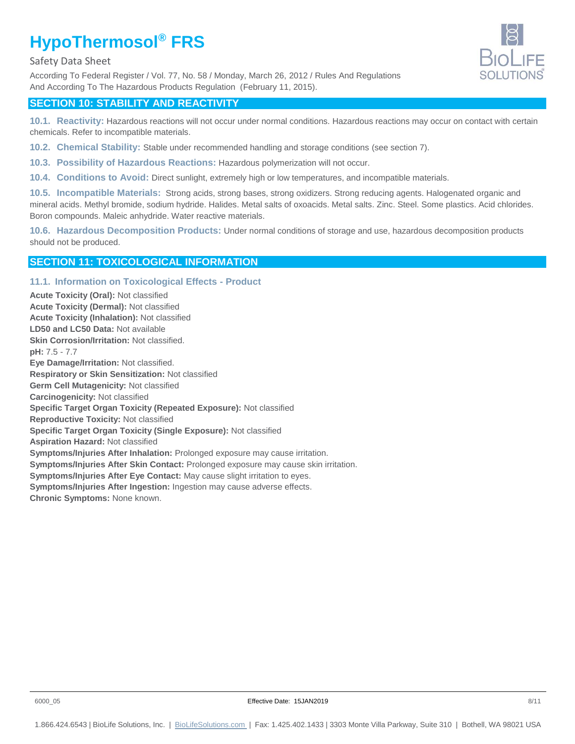#### Safety Data Sheet

According To Federal Register / Vol. 77, No. 58 / Monday, March 26, 2012 / Rules And Regulations And According To The Hazardous Products Regulation (February 11, 2015).



# **SECTION 10: STABILITY AND REACTIVITY**

**10.1. Reactivity:** Hazardous reactions will not occur under normal conditions. Hazardous reactions may occur on contact with certain chemicals. Refer to incompatible materials.

- **10.2. Chemical Stability:** Stable under recommended handling and storage conditions (see section 7).
- **10.3. Possibility of Hazardous Reactions:** Hazardous polymerization will not occur.
- **10.4. Conditions to Avoid:** Direct sunlight, extremely high or low temperatures, and incompatible materials.

**10.5. Incompatible Materials:** Strong acids, strong bases, strong oxidizers. Strong reducing agents. Halogenated organic and mineral acids. Methyl bromide, sodium hydride. Halides. Metal salts of oxoacids. Metal salts. Zinc. Steel. Some plastics. Acid chlorides. Boron compounds. Maleic anhydride. Water reactive materials.

**10.6. Hazardous Decomposition Products:** Under normal conditions of storage and use, hazardous decomposition products should not be produced.

# **SECTION 11: TOXICOLOGICAL INFORMATION**

#### **11.1. Information on Toxicological Effects - Product**

**Acute Toxicity (Oral):** Not classified **Acute Toxicity (Dermal):** Not classified **Acute Toxicity (Inhalation):** Not classified **LD50 and LC50 Data:** Not available **Skin Corrosion/Irritation:** Not classified. **pH:** 7.5 - 7.7 **Eye Damage/Irritation:** Not classified. **Respiratory or Skin Sensitization:** Not classified **Germ Cell Mutagenicity:** Not classified **Carcinogenicity:** Not classified **Specific Target Organ Toxicity (Repeated Exposure):** Not classified **Reproductive Toxicity:** Not classified **Specific Target Organ Toxicity (Single Exposure):** Not classified **Aspiration Hazard:** Not classified **Symptoms/Injuries After Inhalation:** Prolonged exposure may cause irritation. **Symptoms/Injuries After Skin Contact:** Prolonged exposure may cause skin irritation. **Symptoms/Injuries After Eye Contact:** May cause slight irritation to eyes. **Symptoms/Injuries After Ingestion:** Ingestion may cause adverse effects. **Chronic Symptoms:** None known.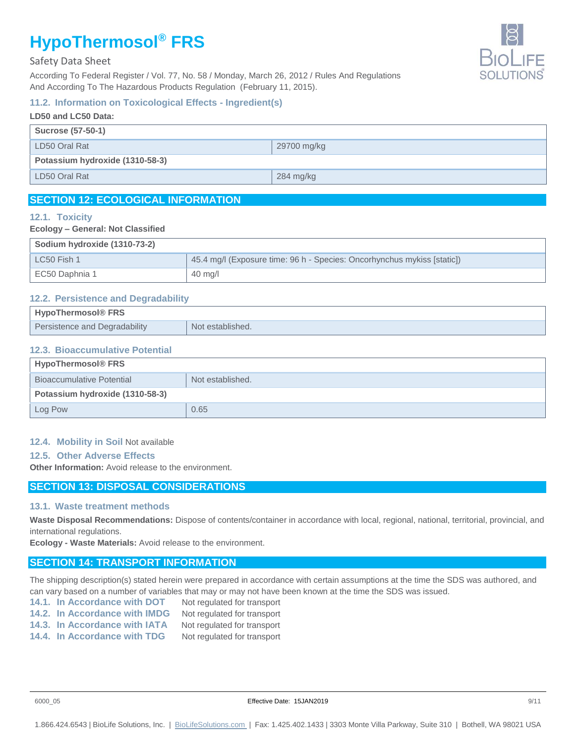#### Safety Data Sheet

According To Federal Register / Vol. 77, No. 58 / Monday, March 26, 2012 / Rules And Regulations And According To The Hazardous Products Regulation (February 11, 2015).

# **11.2. Information on Toxicological Effects - Ingredient(s)**

| LD50 and LC50 Data: |  |
|---------------------|--|
|                     |  |
| 29700 mg/kg         |  |
|                     |  |
| 284 mg/kg           |  |
|                     |  |

# **SECTION 12: ECOLOGICAL INFORMATION**

#### **12.1. Toxicity**

#### **Ecology – General: Not Classified**

| Sodium hydroxide (1310-73-2) |                                                                         |
|------------------------------|-------------------------------------------------------------------------|
| LC50 Fish 1                  | 45.4 mg/l (Exposure time: 96 h - Species: Oncorhynchus mykiss [static]) |
| EC50 Daphnia 1               | $40 \text{ mg/l}$                                                       |

#### **12.2. Persistence and Degradability**

| <b>HypoThermosol® FRS</b>     |                  |
|-------------------------------|------------------|
| Persistence and Degradability | Not established. |

#### **12.3. Bioaccumulative Potential**

| <b>HypoThermosol® FRS</b>        |                  |  |
|----------------------------------|------------------|--|
| <b>Bioaccumulative Potential</b> | Not established. |  |
| Potassium hydroxide (1310-58-3)  |                  |  |
| Log Pow                          | 0.65             |  |

#### **12.4. Mobility in Soil** Not available

#### **12.5. Other Adverse Effects**

**Other Information:** Avoid release to the environment.

## **SECTION 13: DISPOSAL CONSIDERATIONS**

#### **13.1. Waste treatment methods**

**Waste Disposal Recommendations:** Dispose of contents/container in accordance with local, regional, national, territorial, provincial, and international regulations.

**Ecology - Waste Materials:** Avoid release to the environment.

## **SECTION 14: TRANSPORT INFORMATION**

The shipping description(s) stated herein were prepared in accordance with certain assumptions at the time the SDS was authored, and can vary based on a number of variables that may or may not have been known at the time the SDS was issued.

- 14.1. In Accordance with DOT Not regulated for transport
- **14.2. In Accordance with IMDG** Not regulated for transport
- 14.3. In Accordance with IATA Not regulated for transport
- **14.4. In Accordance with TDG** Not regulated for transport

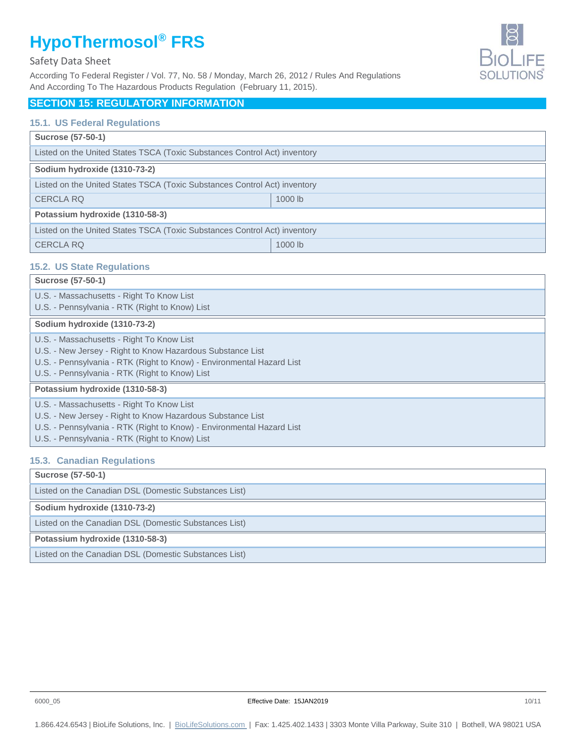#### Safety Data Sheet

According To Federal Register / Vol. 77, No. 58 / Monday, March 26, 2012 / Rules And Regulations And According To The Hazardous Products Regulation (February 11, 2015).

# **BIOLIFE**

# **SECTION 15: REGULATORY INFORMATION**

#### **15.1. US Federal Regulations**

| <b>Sucrose (57-50-1)</b>                                                  |           |  |
|---------------------------------------------------------------------------|-----------|--|
| Listed on the United States TSCA (Toxic Substances Control Act) inventory |           |  |
| Sodium hydroxide (1310-73-2)                                              |           |  |
| Listed on the United States TSCA (Toxic Substances Control Act) inventory |           |  |
| <b>CERCLA RQ</b>                                                          | $1000$ lb |  |
| Potassium hydroxide (1310-58-3)                                           |           |  |
| Listed on the United States TSCA (Toxic Substances Control Act) inventory |           |  |
| <b>CERCLA RQ</b>                                                          | 1000 lb   |  |

#### **15.2. US State Regulations**

| <b>Sucrose (57-50-1)</b>                                                                                                                                                                                                           |
|------------------------------------------------------------------------------------------------------------------------------------------------------------------------------------------------------------------------------------|
| U.S. - Massachusetts - Right To Know List<br>U.S. - Pennsylvania - RTK (Right to Know) List                                                                                                                                        |
|                                                                                                                                                                                                                                    |
| Sodium hydroxide (1310-73-2)                                                                                                                                                                                                       |
| U.S. - Massachusetts - Right To Know List<br>U.S. - New Jersey - Right to Know Hazardous Substance List<br>U.S. - Pennsylvania - RTK (Right to Know) - Environmental Hazard List<br>U.S. - Pennsylvania - RTK (Right to Know) List |
| Potassium hydroxide (1310-58-3)                                                                                                                                                                                                    |
| U.S. - Massachusetts - Right To Know List<br>U.S. - New Jersey - Right to Know Hazardous Substance List<br>U.S. - Pennsylvania - RTK (Right to Know) - Environmental Hazard List<br>U.S. - Pennsylvania - RTK (Right to Know) List |

#### **15.3. Canadian Regulations**

| <b>Sucrose (57-50-1)</b>                              |
|-------------------------------------------------------|
| Listed on the Canadian DSL (Domestic Substances List) |
| Sodium hydroxide (1310-73-2)                          |
| Listed on the Canadian DSL (Domestic Substances List) |
| Potassium hydroxide (1310-58-3)                       |
| Listed on the Canadian DSL (Domestic Substances List) |